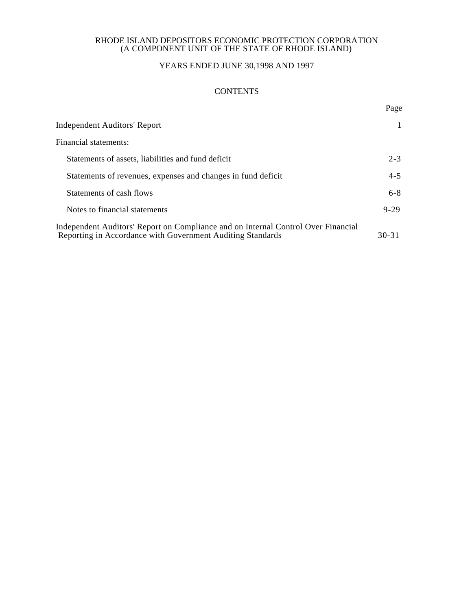# YEARS ENDED JUNE 30,1998 AND 1997

# **CONTENTS**

|                                                                                                                                                 | Page      |
|-------------------------------------------------------------------------------------------------------------------------------------------------|-----------|
| Independent Auditors' Report                                                                                                                    |           |
| Financial statements:                                                                                                                           |           |
| Statements of assets, liabilities and fund deficit                                                                                              | $2 - 3$   |
| Statements of revenues, expenses and changes in fund deficit                                                                                    | $4 - 5$   |
| Statements of cash flows                                                                                                                        | $6 - 8$   |
| Notes to financial statements                                                                                                                   | $9 - 29$  |
| Independent Auditors' Report on Compliance and on Internal Control Over Financial<br>Reporting in Accordance with Government Auditing Standards | $30 - 31$ |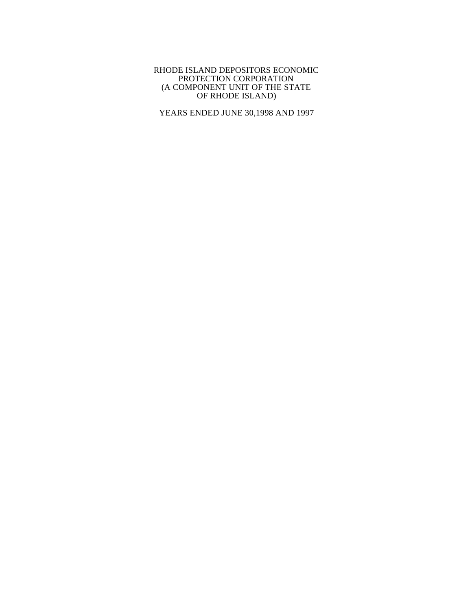YEARS ENDED JUNE 30,1998 AND 1997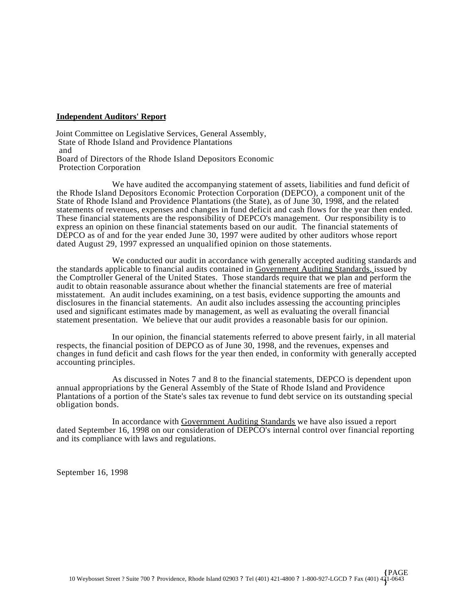#### **Independent Auditors' Report**

Joint Committee on Legislative Services, General Assembly, State of Rhode Island and Providence Plantations and Board of Directors of the Rhode Island Depositors Economic Protection Corporation

We have audited the accompanying statement of assets, liabilities and fund deficit of the Rhode Island Depositors Economic Protection Corporation (DEPCO), a component unit of the State of Rhode Island and Providence Plantations (the State), as of June 30, 1998, and the related statements of revenues, expenses and changes in fund deficit and cash flows for the year then ended. These financial statements are the responsibility of DEPCO's management. Our responsibility is to express an opinion on these financial statements based on our audit. The financial statements of DEPCO as of and for the year ended June 30, 1997 were audited by other auditors whose report dated August 29, 1997 expressed an unqualified opinion on those statements.

We conducted our audit in accordance with generally accepted auditing standards and the standards applicable to financial audits contained in Government Auditing Standards, issued by the Comptroller General of the United States. Those standards require that we plan and perform the audit to obtain reasonable assurance about whether the financial statements are free of material misstatement. An audit includes examining, on a test basis, evidence supporting the amounts and disclosures in the financial statements. An audit also includes assessing the accounting principles used and significant estimates made by management, as well as evaluating the overall financial statement presentation. We believe that our audit provides a reasonable basis for our opinion.

In our opinion, the financial statements referred to above present fairly, in all material respects, the financial position of DEPCO as of June 30, 1998, and the revenues, expenses and changes in fund deficit and cash flows for the year then ended, in conformity with generally accepted accounting principles.

As discussed in Notes 7 and 8 to the financial statements, DEPCO is dependent upon annual appropriations by the General Assembly of the State of Rhode Island and Providence Plantations of a portion of the State's sales tax revenue to fund debt service on its outstanding special obligation bonds.

In accordance with Government Auditing Standards we have also issued a report dated September 16, 1998 on our consideration of DEPCO's internal control over financial reporting and its compliance with laws and regulations.

September 16, 1998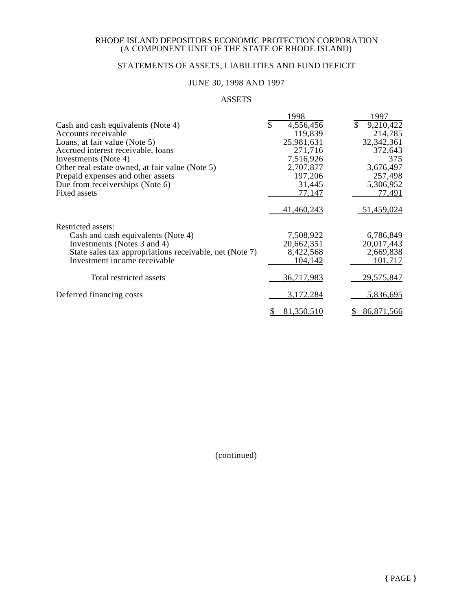# STATEMENTS OF ASSETS, LIABILITIES AND FUND DEFICIT

# JUNE 30, 1998 AND 1997

## ASSETS

|                                                         | 1998            | 1997              |
|---------------------------------------------------------|-----------------|-------------------|
| Cash and cash equivalents (Note 4)                      | \$<br>4,556,456 | \$<br>9,210,422   |
| Accounts receivable                                     | 119,839         | 214,785           |
| Loans, at fair value (Note 5)                           | 25,981,631      | 32, 342, 361      |
| Accrued interest receivable, loans                      | 271,716         | 372,643           |
| Investments (Note 4)                                    | 7,516,926       | 375               |
| Other real estate owned, at fair value (Note 5)         | 2,707,877       | 3,676,497         |
| Prepaid expenses and other assets                       | 197,206         | 257,498           |
| Due from receiverships (Note 6)                         | 31,445          | 5,306,952         |
| Fixed assets                                            | 77,147          | 77,491            |
|                                                         | 41,460,243      | <u>51,459,024</u> |
| Restricted assets:                                      |                 |                   |
| Cash and cash equivalents (Note 4)                      | 7,508,922       | 6,786,849         |
| Investments (Notes 3 and 4)                             | 20,662,351      | 20,017,443        |
| State sales tax appropriations receivable, net (Note 7) | 8,422,568       | 2,669,838         |
| Investment income receivable                            | 104,142         | 101,717           |
| Total restricted assets                                 | 36,717,983      | 29,575,847        |
| Deferred financing costs                                | 3,172,284       | 5,836,695         |
|                                                         | 81,350,510      | 86,871,566        |

(continued)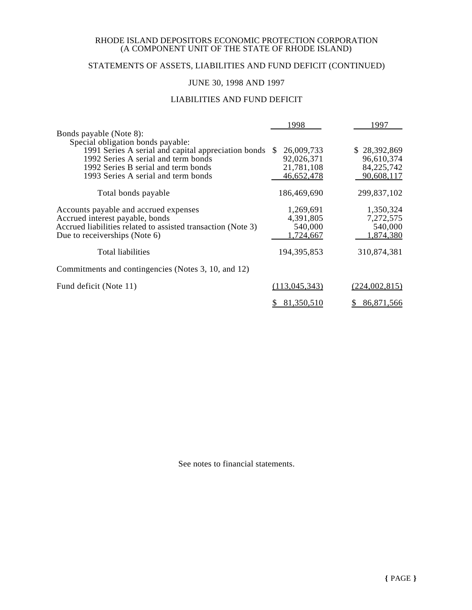# STATEMENTS OF ASSETS, LIABILITIES AND FUND DEFICIT (CONTINUED)

# JUNE 30, 1998 AND 1997

# LIABILITIES AND FUND DEFICIT

|                                                              | 1998             | 1997          |
|--------------------------------------------------------------|------------------|---------------|
| Bonds payable (Note 8):                                      |                  |               |
| Special obligation bonds payable:                            |                  |               |
| 1991 Series A serial and capital appreciation bonds          | 26,009,733<br>S. | \$28,392,869  |
| 1992 Series A serial and term bonds                          | 92,026,371       | 96,610,374    |
| 1992 Series B serial and term bonds                          | 21,781,108       | 84,225,742    |
| 1993 Series A serial and term bonds                          | 46,652,478       | 90,608,117    |
| Total bonds payable                                          | 186,469,690      | 299,837,102   |
| Accounts payable and accrued expenses                        | 1,269,691        | 1,350,324     |
| Accrued interest payable, bonds                              | 4,391,805        | 7,272,575     |
| Accrued liabilities related to assisted transaction (Note 3) | 540,000          | 540,000       |
| Due to receiverships (Note 6)                                | 1,724,667        | 1,874,380     |
| <b>Total liabilities</b>                                     | 194,395,853      | 310,874,381   |
| Commitments and contingencies (Notes 3, 10, and 12)          |                  |               |
| Fund deficit (Note 11)                                       | (113, 045, 343)  | (224,002,815) |
|                                                              | 81,350,510       | 86,871,566    |
|                                                              |                  |               |

See notes to financial statements.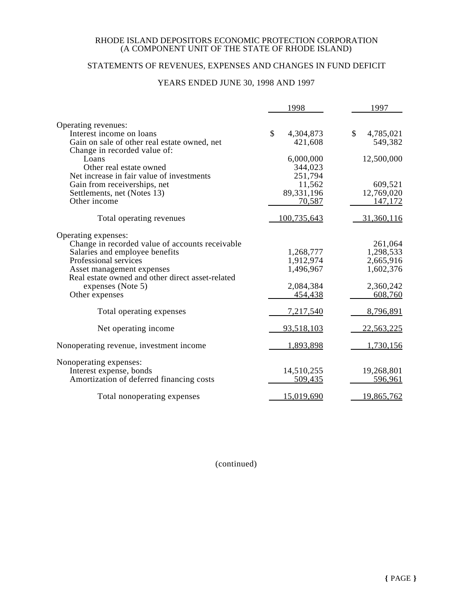# STATEMENTS OF REVENUES, EXPENSES AND CHANGES IN FUND DEFICIT

# YEARS ENDED JUNE 30, 1998 AND 1997

|                                                  | 1998            | 1997                      |
|--------------------------------------------------|-----------------|---------------------------|
| Operating revenues:                              |                 |                           |
| Interest income on loans                         | \$<br>4,304,873 | $\mathbb{S}$<br>4,785,021 |
| Gain on sale of other real estate owned, net     | 421,608         | 549,382                   |
| Change in recorded value of:                     |                 |                           |
| Loans                                            | 6,000,000       | 12,500,000                |
| Other real estate owned                          | 344,023         |                           |
| Net increase in fair value of investments        | 251,794         |                           |
| Gain from receiverships, net                     | 11,562          | 609,521                   |
| Settlements, net (Notes 13)                      | 89,331,196      | 12,769,020                |
| Other income                                     | 70,587          | 147,172                   |
| Total operating revenues                         | 100,735,643     | 31,360,116                |
| Operating expenses:                              |                 |                           |
| Change in recorded value of accounts receivable  |                 | 261,064                   |
| Salaries and employee benefits                   | 1,268,777       | 1,298,533                 |
| Professional services                            | 1,912,974       | 2,665,916                 |
| Asset management expenses                        | 1,496,967       | 1,602,376                 |
| Real estate owned and other direct asset-related |                 |                           |
| expenses (Note 5)                                | 2,084,384       | 2,360,242                 |
| Other expenses                                   | 454,438         | 608,760                   |
| Total operating expenses                         | 7,217,540       | 8,796,891                 |
| Net operating income                             | 93,518,103      | 22,563,225                |
| Nonoperating revenue, investment income          | 1,893,898       | 1,730,156                 |
| Nonoperating expenses:                           |                 |                           |
| Interest expense, bonds                          | 14,510,255      | 19,268,801                |
| Amortization of deferred financing costs         | 509,435         | 596,961                   |
| Total nonoperating expenses                      | 15,019,690      | 19,865,762                |

(continued)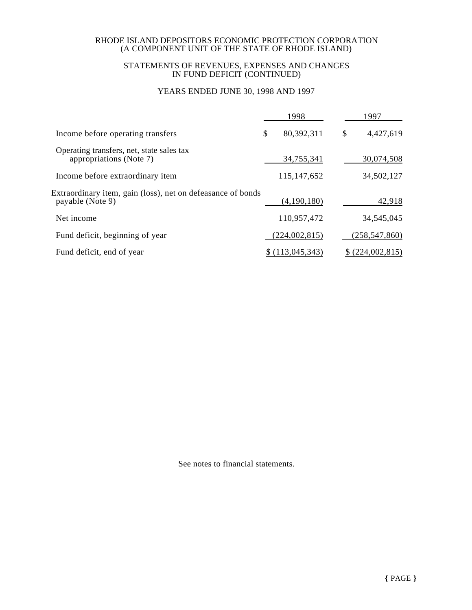#### STATEMENTS OF REVENUES, EXPENSES AND CHANGES IN FUND DEFICIT (CONTINUED)

# YEARS ENDED JUNE 30, 1998 AND 1997

|                                                                                 | 1998             | 1997             |
|---------------------------------------------------------------------------------|------------------|------------------|
| Income before operating transfers                                               | \$<br>80,392,311 | \$<br>4,427,619  |
| Operating transfers, net, state sales tax<br>appropriations (Note 7)            | 34,755,341       | 30,074,508       |
| Income before extraordinary item                                                | 115, 147, 652    | 34,502,127       |
| Extraordinary item, gain (loss), net on defeasance of bonds<br>payable (Note 9) | (4,190,180)      | 42,918           |
| Net income                                                                      | 110,957,472      | 34,545,045       |
| Fund deficit, beginning of year                                                 | (224,002,815)    | (258, 547, 860)  |
| Fund deficit, end of year                                                       | \$(113,045,343)  | \$ (224,002,815) |
|                                                                                 |                  |                  |

See notes to financial statements.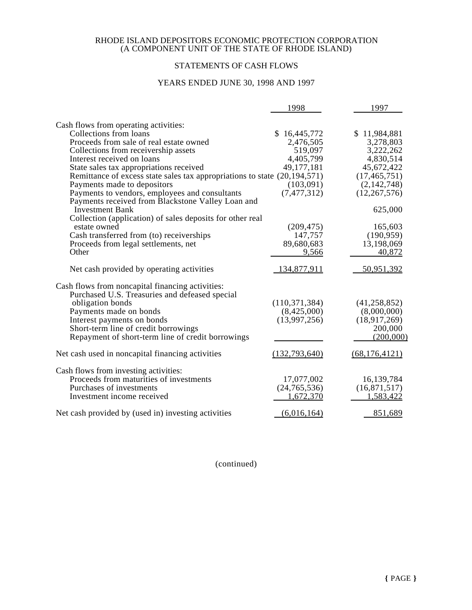# STATEMENTS OF CASH FLOWS

## YEARS ENDED JUNE 30, 1998 AND 1997

|                                                                           | 1998                           | 1997                          |
|---------------------------------------------------------------------------|--------------------------------|-------------------------------|
| Cash flows from operating activities:                                     |                                |                               |
| Collections from loans                                                    | \$16,445,772                   | \$11,984,881                  |
| Proceeds from sale of real estate owned                                   | 2,476,505                      | 3,278,803                     |
| Collections from receivership assets                                      | 519,097                        | 3,222,262                     |
| Interest received on loans                                                | 4,405,799                      | 4,830,514                     |
| State sales tax appropriations received                                   | 49,177,181                     | 45,672,422                    |
| Remittance of excess state sales tax appropriations to state (20,194,571) |                                | (17, 465, 751)                |
| Payments made to depositors                                               | (103,091)                      | (2,142,748)                   |
| Payments to vendors, employees and consultants                            | (7, 477, 312)                  | (12, 267, 576)                |
| Payments received from Blackstone Valley Loan and                         |                                |                               |
| <b>Investment Bank</b>                                                    |                                | 625,000                       |
| Collection (application) of sales deposits for other real                 |                                |                               |
| estate owned                                                              | (209, 475)                     | 165,603                       |
| Cash transferred from (to) receiverships                                  | 147,757                        | (190, 959)                    |
| Proceeds from legal settlements, net                                      | 89,680,683                     | 13,198,069                    |
| Other                                                                     | 9,566                          | 40,872                        |
|                                                                           |                                |                               |
| Net cash provided by operating activities                                 | 134,877,911                    | 50,951,392                    |
|                                                                           |                                |                               |
| Cash flows from noncapital financing activities:                          |                                |                               |
| Purchased U.S. Treasuries and defeased special                            |                                |                               |
| obligation bonds                                                          | (110, 371, 384)<br>(8,425,000) | (41, 258, 852)<br>(8,000,000) |
| Payments made on bonds                                                    | (13,997,256)                   |                               |
| Interest payments on bonds                                                |                                | (18, 917, 269)<br>200,000     |
| Short-term line of credit borrowings                                      |                                | (200,000)                     |
| Repayment of short-term line of credit borrowings                         |                                |                               |
| Net cash used in noncapital financing activities                          | (132, 793, 640)                | (68, 176, 4121)               |
|                                                                           |                                |                               |
| Cash flows from investing activities:                                     |                                |                               |
| Proceeds from maturities of investments                                   | 17,077,002                     | 16,139,784                    |
| Purchases of investments                                                  | (24, 765, 536)                 | (16, 871, 517)                |
| Investment income received                                                | 1,672,370                      | 1,583,422                     |
|                                                                           |                                |                               |
| Net cash provided by (used in) investing activities                       | (6,016,164)                    | 851,689                       |
|                                                                           |                                |                               |

(continued)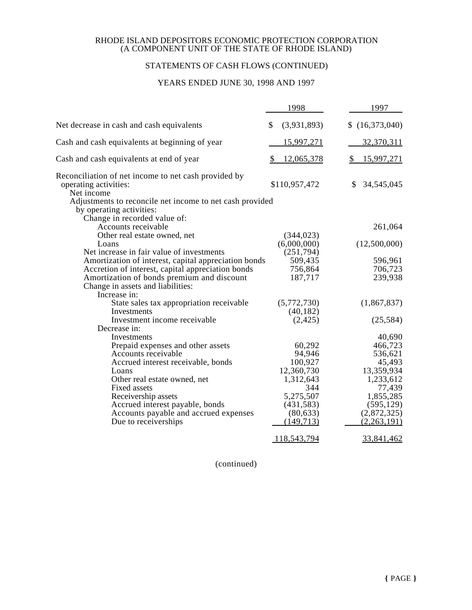# STATEMENTS OF CASH FLOWS (CONTINUED)

# YEARS ENDED JUNE 30, 1998 AND 1997

|                                                                                                                                                        | 1998                             | 1997               |
|--------------------------------------------------------------------------------------------------------------------------------------------------------|----------------------------------|--------------------|
| Net decrease in cash and cash equivalents                                                                                                              | \$<br>(3,931,893)                | \$(16,373,040)     |
| Cash and cash equivalents at beginning of year                                                                                                         | 15,997,271                       | 32,370,311         |
| Cash and cash equivalents at end of year                                                                                                               | 12,065,378                       | 15,997,271         |
| Reconciliation of net income to net cash provided by<br>operating activities:<br>Net income                                                            | \$110,957,472                    | 34,545,045<br>\$   |
| Adjustments to reconcile net income to net cash provided<br>by operating activities:                                                                   |                                  |                    |
| Change in recorded value of:<br>Accounts receivable<br>Other real estate owned, net                                                                    | (344, 023)                       | 261,064            |
| Loans                                                                                                                                                  | (6,000,000)                      | (12,500,000)       |
| Net increase in fair value of investments<br>Amortization of interest, capital appreciation bonds<br>Accretion of interest, capital appreciation bonds | (251, 794)<br>509,435<br>756,864 | 596,961<br>706,723 |
| Amortization of bonds premium and discount<br>Change in assets and liabilities:                                                                        | 187,717                          | 239,938            |
| Increase in:<br>State sales tax appropriation receivable<br>Investments                                                                                | (5,772,730)<br>(40, 182)         | (1,867,837)        |
| Investment income receivable                                                                                                                           | (2, 425)                         | (25, 584)          |
| Decrease in:<br>Investments                                                                                                                            |                                  | 40,690             |
| Prepaid expenses and other assets                                                                                                                      | 60,292                           | 466,723            |
| Accounts receivable                                                                                                                                    | 94,946                           | 536,621            |
| Accrued interest receivable, bonds                                                                                                                     | 100,927                          | 45,493             |
| Loans                                                                                                                                                  | 12,360,730                       | 13,359,934         |
| Other real estate owned, net                                                                                                                           | 1,312,643                        | 1,233,612          |
| Fixed assets                                                                                                                                           | 344                              | 77,439             |
| Receivership assets                                                                                                                                    | 5,275,507                        | 1,855,285          |
| Accrued interest payable, bonds                                                                                                                        | (431, 583)                       | (595, 129)         |
| Accounts payable and accrued expenses                                                                                                                  | (80, 633)                        | (2,872,325)        |
| Due to receiverships                                                                                                                                   | (149, 713)                       | (2,263,191)        |
|                                                                                                                                                        | 118,543,794                      | 33,841,462         |

(continued)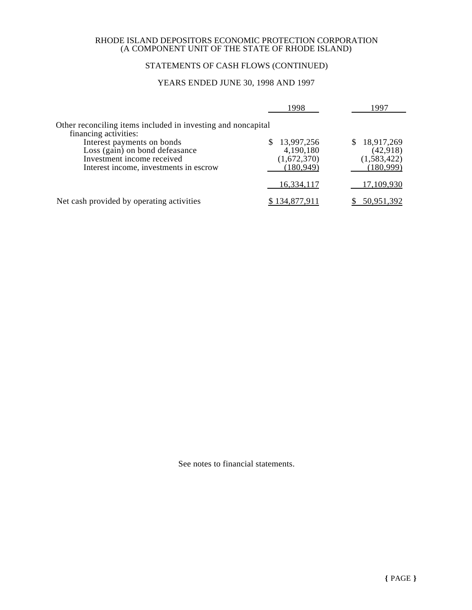# STATEMENTS OF CASH FLOWS (CONTINUED)

# YEARS ENDED JUNE 30, 1998 AND 1997

|                                                                                                                                                                                                                               | 1998                                                       | 1997                                                  |
|-------------------------------------------------------------------------------------------------------------------------------------------------------------------------------------------------------------------------------|------------------------------------------------------------|-------------------------------------------------------|
| Other reconciling items included in investing and noncapital<br>financing activities:<br>Interest payments on bonds<br>Loss (gain) on bond defeasance<br>Investment income received<br>Interest income, investments in escrow | 13,997,256<br>S.<br>4,190,180<br>(1,672,370)<br>(180, 949) | \$18,917,269<br>(42,918)<br>(1,583,422)<br>(180, 999) |
|                                                                                                                                                                                                                               | 16,334,117                                                 | 17,109,930                                            |
| Net cash provided by operating activities                                                                                                                                                                                     | \$134,877,911                                              | 50,951,392                                            |

See notes to financial statements.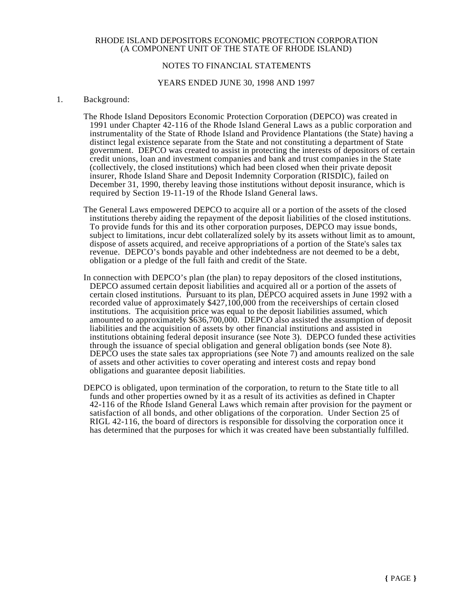### NOTES TO FINANCIAL STATEMENTS

#### YEARS ENDED JUNE 30, 1998 AND 1997

#### 1. Background:

- The Rhode Island Depositors Economic Protection Corporation (DEPCO) was created in 1991 under Chapter 42-116 of the Rhode Island General Laws as a public corporation and instrumentality of the State of Rhode Island and Providence Plantations (the State) having a distinct legal existence separate from the State and not constituting a department of State government. DEPCO was created to assist in protecting the interests of depositors of certain credit unions, loan and investment companies and bank and trust companies in the State (collectively, the closed institutions) which had been closed when their private deposit insurer, Rhode Island Share and Deposit Indemnity Corporation (RISDIC), failed on December 31, 1990, thereby leaving those institutions without deposit insurance, which is required by Section 19-11-19 of the Rhode Island General laws.
- The General Laws empowered DEPCO to acquire all or a portion of the assets of the closed institutions thereby aiding the repayment of the deposit liabilities of the closed institutions. To provide funds for this and its other corporation purposes, DEPCO may issue bonds, subject to limitations, incur debt collateralized solely by its assets without limit as to amount, dispose of assets acquired, and receive appropriations of a portion of the State's sales tax revenue. DEPCO's bonds payable and other indebtedness are not deemed to be a debt, obligation or a pledge of the full faith and credit of the State.
- In connection with DEPCO's plan (the plan) to repay depositors of the closed institutions, DEPCO assumed certain deposit liabilities and acquired all or a portion of the assets of certain closed institutions. Pursuant to its plan, DEPCO acquired assets in June 1992 with a recorded value of approximately \$427,100,000 from the receiverships of certain closed institutions. The acquisition price was equal to the deposit liabilities assumed, which amounted to approximately \$636,700,000. DEPCO also assisted the assumption of deposit liabilities and the acquisition of assets by other financial institutions and assisted in institutions obtaining federal deposit insurance (see Note 3). DEPCO funded these activities through the issuance of special obligation and general obligation bonds (see Note 8). DEPCO uses the state sales tax appropriations (see Note 7) and amounts realized on the sale of assets and other activities to cover operating and interest costs and repay bond obligations and guarantee deposit liabilities.
- DEPCO is obligated, upon termination of the corporation, to return to the State title to all funds and other properties owned by it as a result of its activities as defined in Chapter 42-116 of the Rhode Island General Laws which remain after provision for the payment or satisfaction of all bonds, and other obligations of the corporation. Under Section 25 of RIGL 42-116, the board of directors is responsible for dissolving the corporation once it has determined that the purposes for which it was created have been substantially fulfilled.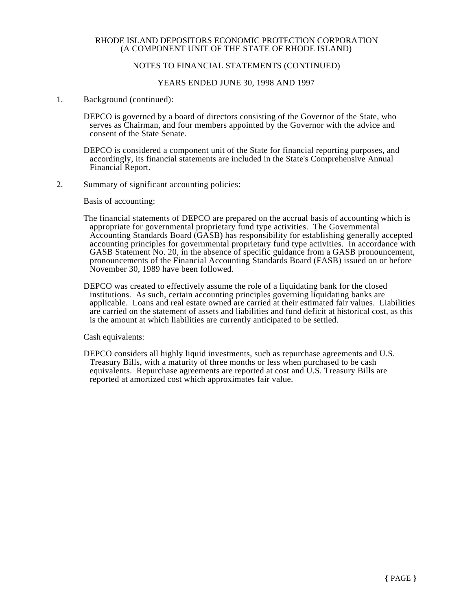## NOTES TO FINANCIAL STATEMENTS (CONTINUED)

## YEARS ENDED JUNE 30, 1998 AND 1997

1. Background (continued):

DEPCO is governed by a board of directors consisting of the Governor of the State, who serves as Chairman, and four members appointed by the Governor with the advice and consent of the State Senate.

DEPCO is considered a component unit of the State for financial reporting purposes, and accordingly, its financial statements are included in the State's Comprehensive Annual Financial Report.

2. Summary of significant accounting policies:

Basis of accounting:

- The financial statements of DEPCO are prepared on the accrual basis of accounting which is appropriate for governmental proprietary fund type activities. The Governmental Accounting Standards Board (GASB) has responsibility for establishing generally accepted accounting principles for governmental proprietary fund type activities. In accordance with GASB Statement No. 20, in the absence of specific guidance from a GASB pronouncement, pronouncements of the Financial Accounting Standards Board (FASB) issued on or before November 30, 1989 have been followed.
- DEPCO was created to effectively assume the role of a liquidating bank for the closed institutions. As such, certain accounting principles governing liquidating banks are applicable. Loans and real estate owned are carried at their estimated fair values. Liabilities are carried on the statement of assets and liabilities and fund deficit at historical cost, as this is the amount at which liabilities are currently anticipated to be settled.

Cash equivalents:

DEPCO considers all highly liquid investments, such as repurchase agreements and U.S. Treasury Bills, with a maturity of three months or less when purchased to be cash equivalents. Repurchase agreements are reported at cost and U.S. Treasury Bills are reported at amortized cost which approximates fair value.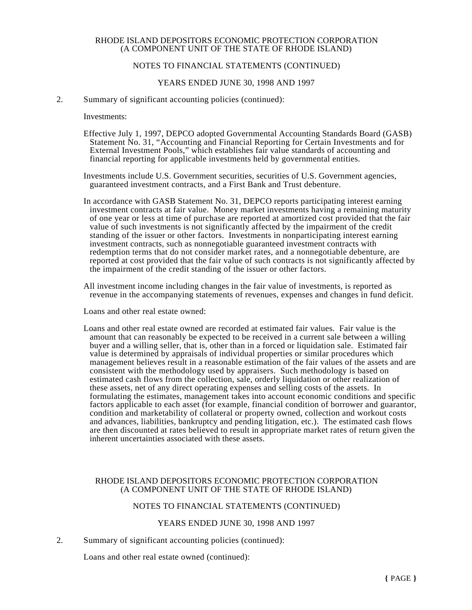## NOTES TO FINANCIAL STATEMENTS (CONTINUED)

### YEARS ENDED JUNE 30, 1998 AND 1997

2. Summary of significant accounting policies (continued):

Investments:

Effective July 1, 1997, DEPCO adopted Governmental Accounting Standards Board (GASB) Statement No. 31, "Accounting and Financial Reporting for Certain Investments and for External Investment Pools," which establishes fair value standards of accounting and financial reporting for applicable investments held by governmental entities.

Investments include U.S. Government securities, securities of U.S. Government agencies, guaranteed investment contracts, and a First Bank and Trust debenture.

- In accordance with GASB Statement No. 31, DEPCO reports participating interest earning investment contracts at fair value. Money market investments having a remaining maturity of one year or less at time of purchase are reported at amortized cost provided that the fair value of such investments is not significantly affected by the impairment of the credit standing of the issuer or other factors. Investments in nonparticipating interest earning investment contracts, such as nonnegotiable guaranteed investment contracts with redemption terms that do not consider market rates, and a nonnegotiable debenture, are reported at cost provided that the fair value of such contracts is not significantly affected by the impairment of the credit standing of the issuer or other factors.
- All investment income including changes in the fair value of investments, is reported as revenue in the accompanying statements of revenues, expenses and changes in fund deficit.

Loans and other real estate owned:

Loans and other real estate owned are recorded at estimated fair values. Fair value is the amount that can reasonably be expected to be received in a current sale between a willing buyer and a willing seller, that is, other than in a forced or liquidation sale. Estimated fair value is determined by appraisals of individual properties or similar procedures which management believes result in a reasonable estimation of the fair values of the assets and are consistent with the methodology used by appraisers. Such methodology is based on estimated cash flows from the collection, sale, orderly liquidation or other realization of these assets, net of any direct operating expenses and selling costs of the assets. In formulating the estimates, management takes into account economic conditions and specific factors applicable to each asset (for example, financial condition of borrower and guarantor, condition and marketability of collateral or property owned, collection and workout costs and advances, liabilities, bankruptcy and pending litigation, etc.). The estimated cash flows are then discounted at rates believed to result in appropriate market rates of return given the inherent uncertainties associated with these assets.

## RHODE ISLAND DEPOSITORS ECONOMIC PROTECTION CORPORATION (A COMPONENT UNIT OF THE STATE OF RHODE ISLAND)

#### NOTES TO FINANCIAL STATEMENTS (CONTINUED)

#### YEARS ENDED JUNE 30, 1998 AND 1997

2. Summary of significant accounting policies (continued):

Loans and other real estate owned (continued):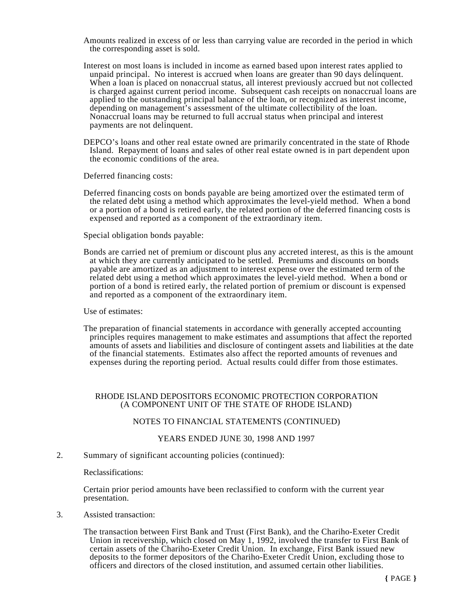Amounts realized in excess of or less than carrying value are recorded in the period in which the corresponding asset is sold.

Interest on most loans is included in income as earned based upon interest rates applied to unpaid principal. No interest is accrued when loans are greater than 90 days delinquent. When a loan is placed on nonaccrual status, all interest previously accrued but not collected is charged against current period income. Subsequent cash receipts on nonaccrual loans are applied to the outstanding principal balance of the loan, or recognized as interest income, depending on management's assessment of the ultimate collectibility of the loan. Nonaccrual loans may be returned to full accrual status when principal and interest payments are not delinquent.

DEPCO's loans and other real estate owned are primarily concentrated in the state of Rhode Island. Repayment of loans and sales of other real estate owned is in part dependent upon the economic conditions of the area.

Deferred financing costs:

Deferred financing costs on bonds payable are being amortized over the estimated term of the related debt using a method which approximates the level-yield method. When a bond or a portion of a bond is retired early, the related portion of the deferred financing costs is expensed and reported as a component of the extraordinary item.

Special obligation bonds payable:

Bonds are carried net of premium or discount plus any accreted interest, as this is the amount at which they are currently anticipated to be settled. Premiums and discounts on bonds payable are amortized as an adjustment to interest expense over the estimated term of the related debt using a method which approximates the level-yield method. When a bond or portion of a bond is retired early, the related portion of premium or discount is expensed and reported as a component of the extraordinary item.

Use of estimates:

The preparation of financial statements in accordance with generally accepted accounting principles requires management to make estimates and assumptions that affect the reported amounts of assets and liabilities and disclosure of contingent assets and liabilities at the date of the financial statements. Estimates also affect the reported amounts of revenues and expenses during the reporting period. Actual results could differ from those estimates.

#### RHODE ISLAND DEPOSITORS ECONOMIC PROTECTION CORPORATION (A COMPONENT UNIT OF THE STATE OF RHODE ISLAND)

#### NOTES TO FINANCIAL STATEMENTS (CONTINUED)

#### YEARS ENDED JUNE 30, 1998 AND 1997

2. Summary of significant accounting policies (continued):

Reclassifications:

Certain prior period amounts have been reclassified to conform with the current year presentation.

- 3. Assisted transaction:
	- The transaction between First Bank and Trust (First Bank), and the Chariho-Exeter Credit Union in receivership, which closed on May 1, 1992, involved the transfer to First Bank of certain assets of the Chariho-Exeter Credit Union. In exchange, First Bank issued new deposits to the former depositors of the Chariho-Exeter Credit Union, excluding those to officers and directors of the closed institution, and assumed certain other liabilities.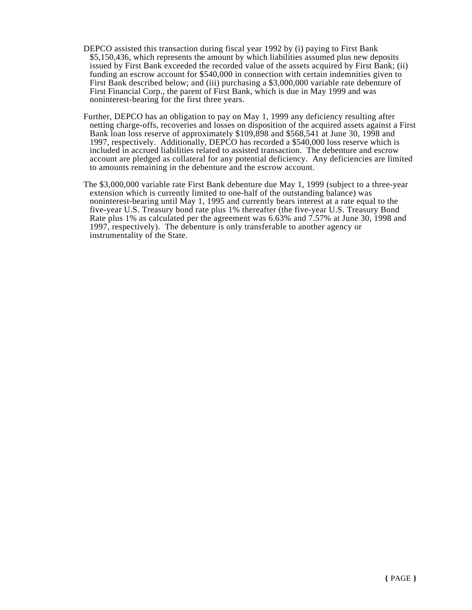- DEPCO assisted this transaction during fiscal year 1992 by (i) paying to First Bank \$5,150,436, which represents the amount by which liabilities assumed plus new deposits issued by First Bank exceeded the recorded value of the assets acquired by First Bank; (ii) funding an escrow account for \$540,000 in connection with certain indemnities given to First Bank described below; and (iii) purchasing a \$3,000,000 variable rate debenture of First Financial Corp., the parent of First Bank, which is due in May 1999 and was noninterest-bearing for the first three years.
- Further, DEPCO has an obligation to pay on May 1, 1999 any deficiency resulting after netting charge-offs, recoveries and losses on disposition of the acquired assets against a First Bank loan loss reserve of approximately \$109,898 and \$568,541 at June 30, 1998 and 1997, respectively. Additionally, DEPCO has recorded a \$540,000 loss reserve which is included in accrued liabilities related to assisted transaction. The debenture and escrow account are pledged as collateral for any potential deficiency. Any deficiencies are limited to amounts remaining in the debenture and the escrow account.
- The \$3,000,000 variable rate First Bank debenture due May 1, 1999 (subject to a three-year extension which is currently limited to one-half of the outstanding balance) was noninterest-bearing until May 1, 1995 and currently bears interest at a rate equal to the five-year U.S. Treasury bond rate plus 1% thereafter (the five-year U.S. Treasury Bond Rate plus 1% as calculated per the agreement was 6.63% and 7.57% at June 30, 1998 and 1997, respectively). The debenture is only transferable to another agency or instrumentality of the State.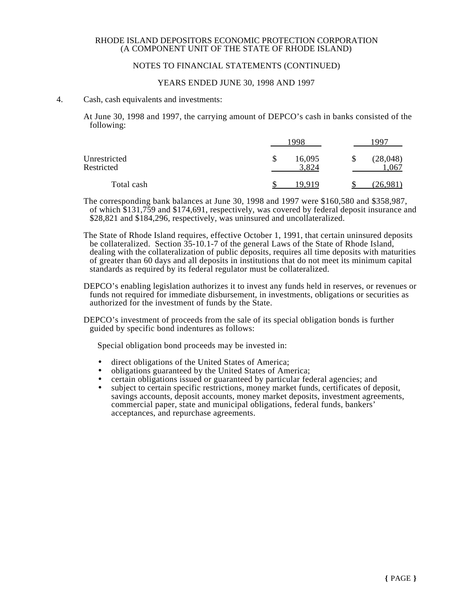## NOTES TO FINANCIAL STATEMENTS (CONTINUED)

### YEARS ENDED JUNE 30, 1998 AND 1997

#### 4. Cash, cash equivalents and investments:

At June 30, 1998 and 1997, the carrying amount of DEPCO's cash in banks consisted of the following:

|                            |   |                 |  | -991              |
|----------------------------|---|-----------------|--|-------------------|
| Unrestricted<br>Restricted | S | 16,095<br>3,824 |  | (28, 048)<br>,067 |
| Total cash                 |   | 19 919          |  | (26.981)          |

The corresponding bank balances at June 30, 1998 and 1997 were \$160,580 and \$358,987, of which \$131,759 and \$174,691, respectively, was covered by federal deposit insurance and \$28,821 and \$184,296, respectively, was uninsured and uncollateralized.

The State of Rhode Island requires, effective October 1, 1991, that certain uninsured deposits be collateralized. Section 35-10.1-7 of the general Laws of the State of Rhode Island, dealing with the collateralization of public deposits, requires all time deposits with maturities of greater than 60 days and all deposits in institutions that do not meet its minimum capital standards as required by its federal regulator must be collateralized.

DEPCO's enabling legislation authorizes it to invest any funds held in reserves, or revenues or funds not required for immediate disbursement, in investments, obligations or securities as authorized for the investment of funds by the State.

DEPCO's investment of proceeds from the sale of its special obligation bonds is further guided by specific bond indentures as follows:

Special obligation bond proceeds may be invested in:

- direct obligations of the United States of America;
- obligations guaranteed by the United States of America;
- certain obligations issued or guaranteed by particular federal agencies; and
- subject to certain specific restrictions, money market funds, certificates of deposit, savings accounts, deposit accounts, money market deposits, investment agreements, commercial paper, state and municipal obligations, federal funds, bankers' acceptances, and repurchase agreements.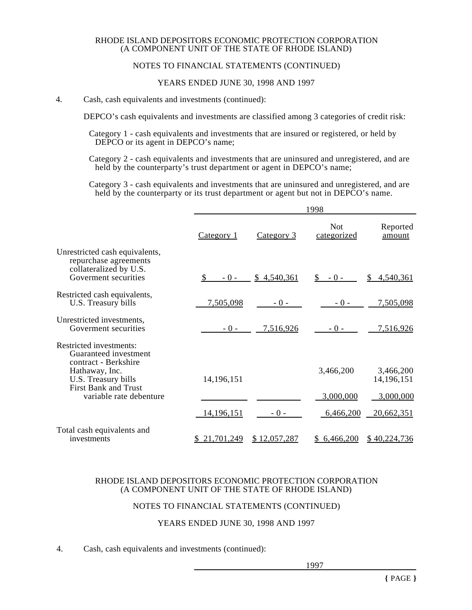# NOTES TO FINANCIAL STATEMENTS (CONTINUED)

### YEARS ENDED JUNE 30, 1998 AND 1997

#### 4. Cash, cash equivalents and investments (continued):

DEPCO's cash equivalents and investments are classified among 3 categories of credit risk:

Category 1 - cash equivalents and investments that are insured or registered, or held by DEPCO or its agent in DEPCO's name;

Category 2 - cash equivalents and investments that are uninsured and unregistered, and are held by the counterparty's trust department or agent in DEPCO's name;

Category 3 - cash equivalents and investments that are uninsured and unregistered, and are held by the counterparty or its trust department or agent but not in DEPCO's name.

|                                                                                                                                                  | 1998         |              |                           |                         |
|--------------------------------------------------------------------------------------------------------------------------------------------------|--------------|--------------|---------------------------|-------------------------|
|                                                                                                                                                  | Category 1   | Category 3   | <b>Not</b><br>categorized | Reported<br>amount      |
| Unrestricted cash equivalents,<br>repurchase agreements<br>collateralized by U.S.<br>Goverment securities                                        | \$.<br>$-0-$ | \$4,540,361  | \$<br>$-0-$               | 4,540,361<br>S.         |
| Restricted cash equivalents,<br>U.S. Treasury bills                                                                                              | 7,505,098    | $-0-$        | $-0-$                     | 7,505,098               |
| Unrestricted investments,<br>Goverment securities                                                                                                | $-0-$        | 7,516,926    | $-0-$                     | 7,516,926               |
| Restricted investments:<br>Guaranteed investment<br>contract - Berkshire<br>Hathaway, Inc.<br>U.S. Treasury bills<br><b>First Bank and Trust</b> | 14,196,151   |              | 3,466,200                 | 3,466,200<br>14,196,151 |
| variable rate debenture                                                                                                                          |              |              | 3,000,000                 | 3,000,000               |
|                                                                                                                                                  | 14,196,151   | $-0-$        | 6,466,200                 | 20,662,351              |
| Total cash equivalents and<br>investments                                                                                                        | \$21,701,249 | \$12,057,287 | \$6,466,200               | \$40,224,736            |

### RHODE ISLAND DEPOSITORS ECONOMIC PROTECTION CORPORATION (A COMPONENT UNIT OF THE STATE OF RHODE ISLAND)

#### NOTES TO FINANCIAL STATEMENTS (CONTINUED)

### YEARS ENDED JUNE 30, 1998 AND 1997

4. Cash, cash equivalents and investments (continued):

1997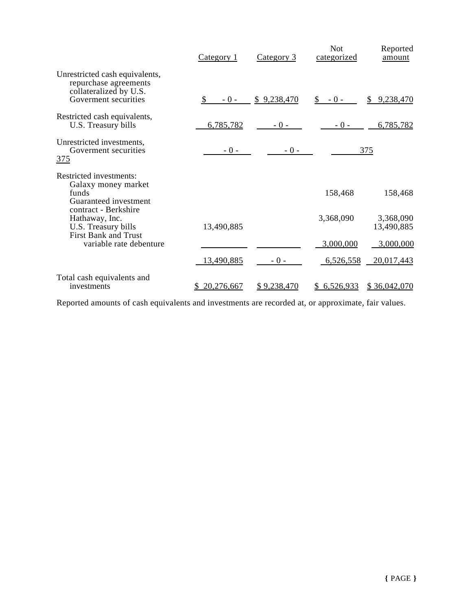|                                                                                                           | Category 1       | Category 3  | <b>Not</b><br>categorized | Reported<br>amount      |
|-----------------------------------------------------------------------------------------------------------|------------------|-------------|---------------------------|-------------------------|
| Unrestricted cash equivalents,<br>repurchase agreements<br>collateralized by U.S.<br>Goverment securities | \$.<br>$-0-$     | \$9,238,470 | \$<br>$-0-$               | \$9,238,470             |
| Restricted cash equivalents,<br>U.S. Treasury bills                                                       | 6,785,782        | $-0-$       | $-0-$                     | 6,785,782               |
| Unrestricted investments,<br>Goverment securities<br>375                                                  | $-0-$            | $-0 -$      |                           | 375                     |
| Restricted investments:<br>Galaxy money market<br>funds<br>Guaranteed investment                          |                  |             | 158,468                   | 158,468                 |
| contract - Berkshire<br>Hathaway, Inc.<br>U.S. Treasury bills<br><b>First Bank and Trust</b>              | 13,490,885       |             | 3,368,090                 | 3,368,090<br>13,490,885 |
| variable rate debenture                                                                                   |                  |             | 3,000,000                 | 3,000,000               |
|                                                                                                           | 13,490,885       | $-0-$       | 6,526,558                 | 20,017,443              |
| Total cash equivalents and<br>investments                                                                 | 20,276,667<br>S. | \$9,238,470 | \$6,526,933               | \$36,042,070            |

Reported amounts of cash equivalents and investments are recorded at, or approximate, fair values.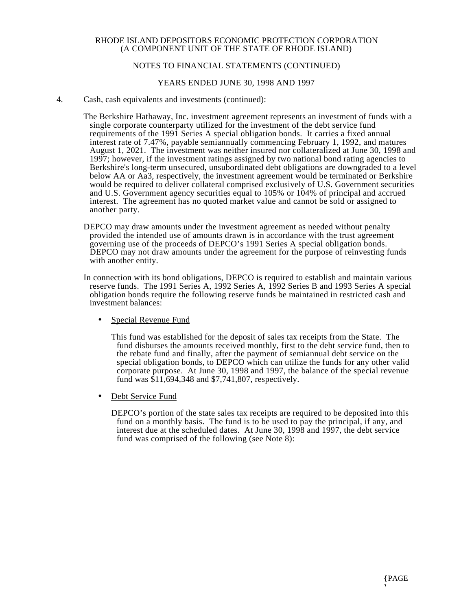## NOTES TO FINANCIAL STATEMENTS (CONTINUED)

### YEARS ENDED JUNE 30, 1998 AND 1997

4. Cash, cash equivalents and investments (continued):

The Berkshire Hathaway, Inc. investment agreement represents an investment of funds with a single corporate counterparty utilized for the investment of the debt service fund requirements of the 1991 Series A special obligation bonds. It carries a fixed annual interest rate of 7.47%, payable semiannually commencing February 1, 1992, and matures August 1, 2021. The investment was neither insured nor collateralized at June 30, 1998 and 1997; however, if the investment ratings assigned by two national bond rating agencies to Berkshire's long-term unsecured, unsubordinated debt obligations are downgraded to a level below AA or Aa3, respectively, the investment agreement would be terminated or Berkshire would be required to deliver collateral comprised exclusively of U.S. Government securities and U.S. Government agency securities equal to 105% or 104% of principal and accrued interest. The agreement has no quoted market value and cannot be sold or assigned to another party.

- DEPCO may draw amounts under the investment agreement as needed without penalty provided the intended use of amounts drawn is in accordance with the trust agreement governing use of the proceeds of DEPCO's 1991 Series A special obligation bonds. DEPCO may not draw amounts under the agreement for the purpose of reinvesting funds with another entity.
- In connection with its bond obligations, DEPCO is required to establish and maintain various reserve funds. The 1991 Series A, 1992 Series A, 1992 Series B and 1993 Series A special obligation bonds require the following reserve funds be maintained in restricted cash and investment balances:
	- Special Revenue Fund

This fund was established for the deposit of sales tax receipts from the State. The fund disburses the amounts received monthly, first to the debt service fund, then to the rebate fund and finally, after the payment of semiannual debt service on the special obligation bonds, to DEPCO which can utilize the funds for any other valid corporate purpose. At June 30, 1998 and 1997, the balance of the special revenue fund was \$11,694,348 and \$7,741,807, respectively.

• Debt Service Fund

DEPCO's portion of the state sales tax receipts are required to be deposited into this fund on a monthly basis. The fund is to be used to pay the principal, if any, and interest due at the scheduled dates. At June 30, 1998 and 1997, the debt service fund was comprised of the following (see Note 8):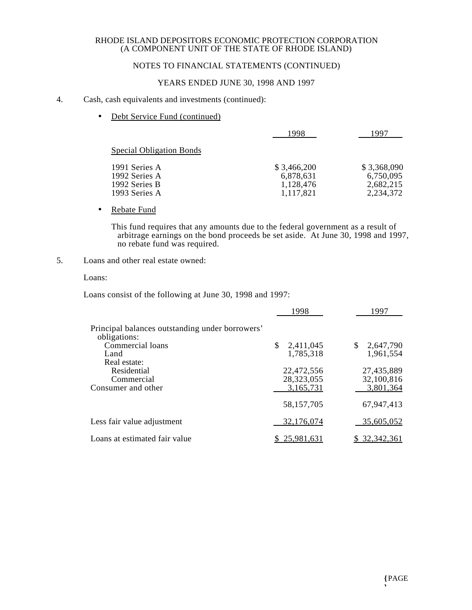## NOTES TO FINANCIAL STATEMENTS (CONTINUED)

## YEARS ENDED JUNE 30, 1998 AND 1997

## 4. Cash, cash equivalents and investments (continued):

• Debt Service Fund (continued)

| <b>Special Obligation Bonds</b>                                  |                                                    |                                                    |
|------------------------------------------------------------------|----------------------------------------------------|----------------------------------------------------|
| 1991 Series A<br>1992 Series A<br>1992 Series B<br>1993 Series A | \$3,466,200<br>6,878,631<br>1,128,476<br>1,117,821 | \$3,368,090<br>6,750,095<br>2,682,215<br>2,234,372 |

## • Rebate Fund

This fund requires that any amounts due to the federal government as a result of arbitrage earnings on the bond proceeds be set aside. At June 30, 1998 and 1997, no rebate fund was required.

5. Loans and other real estate owned:

#### Loans:

Loans consist of the following at June 30, 1998 and 1997:

|                                                                 | 1998             | 1997            |
|-----------------------------------------------------------------|------------------|-----------------|
| Principal balances outstanding under borrowers'<br>obligations: |                  |                 |
| Commercial loans                                                | \$.<br>2,411,045 | 2,647,790<br>S. |
| Land                                                            | 1,785,318        | 1,961,554       |
| Real estate:                                                    |                  |                 |
| Residential                                                     | 22,472,556       | 27,435,889      |
| Commercial                                                      | 28,323,055       | 32,100,816      |
| Consumer and other                                              | 3,165,731        | 3,801,364       |
|                                                                 | 58,157,705       | 67,947,413      |
| Less fair value adjustment                                      | 32,176,074       | 35,605,052      |
| Loans at estimated fair value                                   | 25,981,631       | 32, 342, 361    |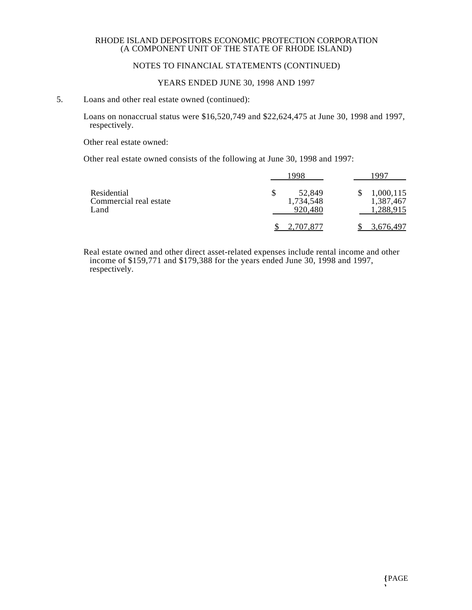## NOTES TO FINANCIAL STATEMENTS (CONTINUED)

## YEARS ENDED JUNE 30, 1998 AND 1997

### 5. Loans and other real estate owned (continued):

Loans on nonaccrual status were \$16,520,749 and \$22,624,475 at June 30, 1998 and 1997, respectively.

Other real estate owned:

Other real estate owned consists of the following at June 30, 1998 and 1997:

| Residential<br>Commercial real estate<br>Land | 52,849<br>1,734,548<br>920,480 | 1,000,115<br>1,387,467<br>1,288,915 |
|-----------------------------------------------|--------------------------------|-------------------------------------|
|                                               | 707.877                        | 3,676,497                           |

Real estate owned and other direct asset-related expenses include rental income and other income of \$159,771 and \$179,388 for the years ended June 30, 1998 and 1997, respectively.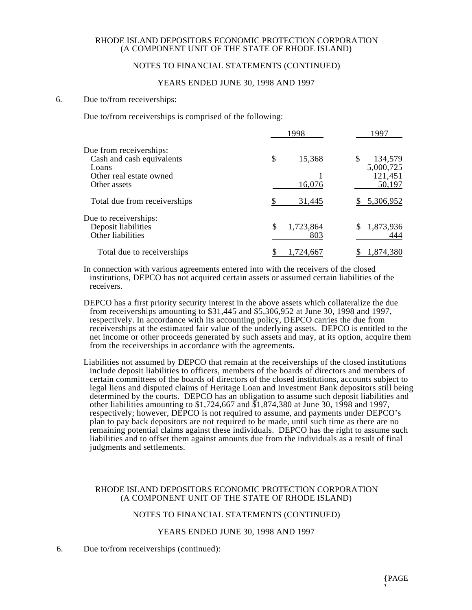## NOTES TO FINANCIAL STATEMENTS (CONTINUED)

## YEARS ENDED JUNE 30, 1998 AND 1997

#### 6. Due to/from receiverships:

Due to/from receiverships is comprised of the following:

|                                    | 1998            | 1997                      |
|------------------------------------|-----------------|---------------------------|
| Due from receiverships:            |                 |                           |
| Cash and cash equivalents<br>Loans | \$<br>15,368    | S<br>134,579<br>5,000,725 |
| Other real estate owned            |                 | 121,451                   |
| Other assets                       | 16,076          | <u>50,197</u>             |
| Total due from receiverships       | 31,445          | 5,306,952                 |
| Due to receiverships:              |                 |                           |
| Deposit liabilities                | \$<br>1,723,864 | 1,873,936                 |
| Other liabilities                  | 803             | 444                       |
| Total due to receiverships         | 1.724.667       | 1,874,380                 |

- In connection with various agreements entered into with the receivers of the closed institutions, DEPCO has not acquired certain assets or assumed certain liabilities of the receivers.
- DEPCO has a first priority security interest in the above assets which collateralize the due from receiverships amounting to \$31,445 and \$5,306,952 at June 30, 1998 and 1997, respectively. In accordance with its accounting policy, DEPCO carries the due from receiverships at the estimated fair value of the underlying assets. DEPCO is entitled to the net income or other proceeds generated by such assets and may, at its option, acquire them from the receiverships in accordance with the agreements.
- Liabilities not assumed by DEPCO that remain at the receiverships of the closed institutions include deposit liabilities to officers, members of the boards of directors and members of certain committees of the boards of directors of the closed institutions, accounts subject to legal liens and disputed claims of Heritage Loan and Investment Bank depositors still being determined by the courts. DEPCO has an obligation to assume such deposit liabilities and other liabilities amounting to \$1,724,667 and \$1,874,380 at June 30, 1998 and 1997, respectively; however, DEPCO is not required to assume, and payments under DEPCO's plan to pay back depositors are not required to be made, until such time as there are no remaining potential claims against these individuals. DEPCO has the right to assume such liabilities and to offset them against amounts due from the individuals as a result of final judgments and settlements.

## RHODE ISLAND DEPOSITORS ECONOMIC PROTECTION CORPORATION (A COMPONENT UNIT OF THE STATE OF RHODE ISLAND)

### NOTES TO FINANCIAL STATEMENTS (CONTINUED)

### YEARS ENDED JUNE 30, 1998 AND 1997

6. Due to/from receiverships (continued):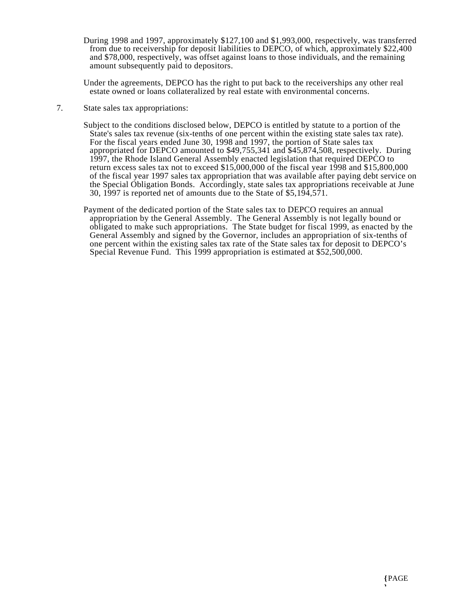During 1998 and 1997, approximately \$127,100 and \$1,993,000, respectively, was transferred from due to receivership for deposit liabilities to DEPCO, of which, approximately \$22,400 and \$78,000, respectively, was offset against loans to those individuals, and the remaining amount subsequently paid to depositors.

Under the agreements, DEPCO has the right to put back to the receiverships any other real estate owned or loans collateralized by real estate with environmental concerns.

7. State sales tax appropriations:

Subject to the conditions disclosed below, DEPCO is entitled by statute to a portion of the State's sales tax revenue (six-tenths of one percent within the existing state sales tax rate). For the fiscal years ended June 30, 1998 and 1997, the portion of State sales tax appropriated for DEPCO amounted to \$49,755,341 and \$45,874,508, respectively. During 1997, the Rhode Island General Assembly enacted legislation that required DEPCO to return excess sales tax not to exceed \$15,000,000 of the fiscal year 1998 and \$15,800,000 of the fiscal year 1997 sales tax appropriation that was available after paying debt service on the Special Obligation Bonds. Accordingly, state sales tax appropriations receivable at June 30, 1997 is reported net of amounts due to the State of \$5,194,571.

Payment of the dedicated portion of the State sales tax to DEPCO requires an annual appropriation by the General Assembly. The General Assembly is not legally bound or obligated to make such appropriations. The State budget for fiscal 1999, as enacted by the General Assembly and signed by the Governor, includes an appropriation of six-tenths of one percent within the existing sales tax rate of the State sales tax for deposit to DEPCO's Special Revenue Fund. This 1999 appropriation is estimated at \$52,500,000.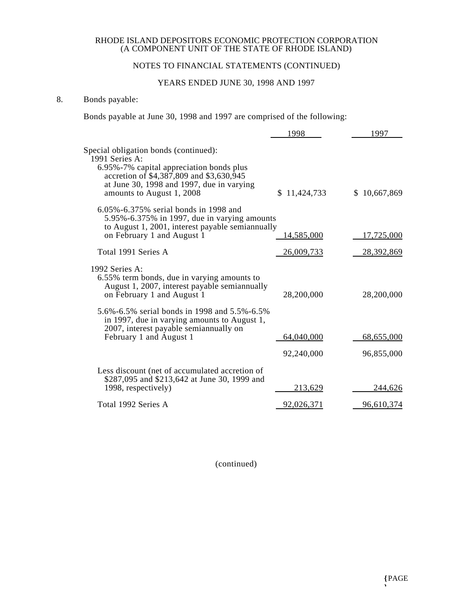## NOTES TO FINANCIAL STATEMENTS (CONTINUED)

## YEARS ENDED JUNE 30, 1998 AND 1997

# 8. Bonds payable:

Bonds payable at June 30, 1998 and 1997 are comprised of the following:

|                                                                                                                                                                                                                           | 1998                     | 1997                     |
|---------------------------------------------------------------------------------------------------------------------------------------------------------------------------------------------------------------------------|--------------------------|--------------------------|
| Special obligation bonds (continued):<br>1991 Series A:<br>6.95%-7% capital appreciation bonds plus<br>accretion of \$4,387,809 and \$3,630,945<br>at June 30, 1998 and 1997, due in varying<br>amounts to August 1, 2008 | \$11,424,733             | \$10,667,869             |
| 6.05%-6.375% serial bonds in 1998 and<br>5.95%-6.375% in 1997, due in varying amounts<br>to August 1, 2001, interest payable semiannually<br>on February 1 and August 1                                                   | 14,585,000               | 17,725,000               |
| Total 1991 Series A                                                                                                                                                                                                       | 26,009,733               | 28,392,869               |
| 1992 Series A:<br>6.55% term bonds, due in varying amounts to<br>August 1, 2007, interest payable semiannually<br>on February 1 and August 1                                                                              | 28,200,000               | 28,200,000               |
| 5.6%-6.5% serial bonds in 1998 and 5.5%-6.5%<br>in 1997, due in varying amounts to August 1,<br>2007, interest payable semiannually on<br>February 1 and August 1                                                         | 64,040,000<br>92,240,000 | 68,655,000<br>96,855,000 |
| Less discount (net of accumulated accretion of<br>\$287,095 and \$213,642 at June 30, 1999 and<br>1998, respectively)                                                                                                     | 213,629                  | 244.626                  |
| Total 1992 Series A                                                                                                                                                                                                       | 92,026,371               | 96,610,374               |

(continued)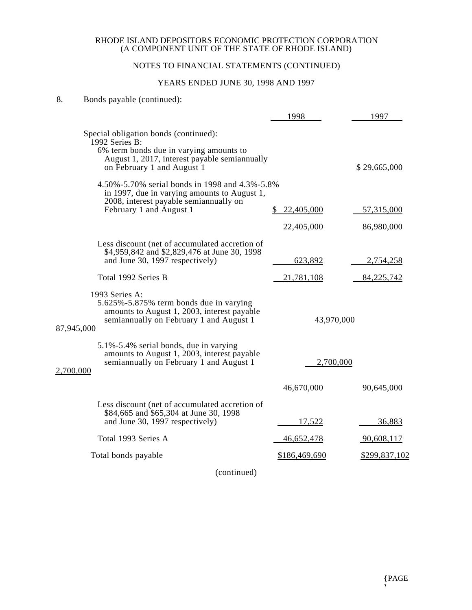# NOTES TO FINANCIAL STATEMENTS (CONTINUED)

# YEARS ENDED JUNE 30, 1998 AND 1997

# 8. Bonds payable (continued):

|                                                                                                                                                                                      | 1998                            | 1997                       |
|--------------------------------------------------------------------------------------------------------------------------------------------------------------------------------------|---------------------------------|----------------------------|
| Special obligation bonds (continued):<br>1992 Series $B$ :<br>6% term bonds due in varying amounts to<br>August 1, 2017, interest payable semiannually<br>on February 1 and August 1 |                                 | \$29,665,000               |
| 4.50%-5.70% serial bonds in 1998 and 4.3%-5.8%<br>in 1997, due in varying amounts to August 1,<br>2008, interest payable semiannually on<br>February 1 and August 1                  | 22,405,000<br>SS.<br>22,405,000 | 57, 315, 000<br>86,980,000 |
| Less discount (net of accumulated accretion of<br>\$4,959,842 and \$2,829,476 at June 30, 1998<br>and June 30, 1997 respectively)<br>Total 1992 Series B                             | 623,892<br>21,781,108           | 2,754,258<br>84, 225, 742  |
| 1993 Series A:<br>5.625%-5.875% term bonds due in varying<br>amounts to August 1, 2003, interest payable<br>semiannually on February 1 and August 1<br>87,945,000                    | 43,970,000                      |                            |
| 5.1%-5.4% serial bonds, due in varying<br>amounts to August 1, 2003, interest payable<br>semiannually on February 1 and August 1<br>2,700,000                                        | 2,700,000                       |                            |
|                                                                                                                                                                                      | 46,670,000                      | 90,645,000                 |
| Less discount (net of accumulated accretion of<br>\$84,665 and \$65,304 at June 30, 1998<br>and June 30, 1997 respectively)                                                          | 17,522                          | 36,883                     |
| Total 1993 Series A                                                                                                                                                                  | <u>46,652,478</u>               | 90,608,117                 |
| Total bonds payable                                                                                                                                                                  | \$186,469,690                   | \$299,837,102              |
|                                                                                                                                                                                      |                                 |                            |

(continued)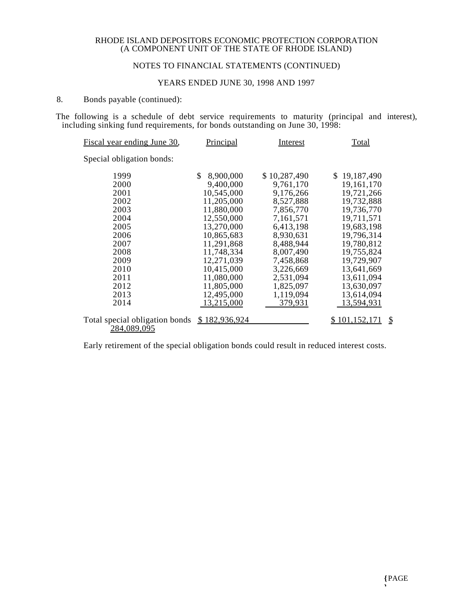## NOTES TO FINANCIAL STATEMENTS (CONTINUED)

## YEARS ENDED JUNE 30, 1998 AND 1997

## 8. Bonds payable (continued):

The following is a schedule of debt service requirements to maturity (principal and interest), including sinking fund requirements, for bonds outstanding on June 30, 1998:

| Fiscal year ending June 30,                   | Principal       | Interest     | Total                          |
|-----------------------------------------------|-----------------|--------------|--------------------------------|
| Special obligation bonds:                     |                 |              |                                |
| 1999                                          | \$<br>8,900,000 | \$10,287,490 | \$19,187,490                   |
| 2000                                          | 9,400,000       | 9,761,170    | 19,161,170                     |
| 2001                                          | 10,545,000      | 9,176,266    | 19,721,266                     |
| 2002                                          | 11,205,000      | 8,527,888    | 19,732,888                     |
| 2003                                          | 11,880,000      | 7,856,770    | 19,736,770                     |
| 2004                                          | 12,550,000      | 7,161,571    | 19,711,571                     |
| 2005                                          | 13,270,000      | 6,413,198    | 19,683,198                     |
| 2006                                          | 10,865,683      | 8,930,631    | 19,796,314                     |
| 2007                                          | 11,291,868      | 8,488,944    | 19,780,812                     |
| 2008                                          | 11,748,334      | 8,007,490    | 19,755,824                     |
| 2009                                          | 12,271,039      | 7,458,868    | 19,729,907                     |
| 2010                                          | 10,415,000      | 3,226,669    | 13,641,669                     |
| 2011                                          | 11,080,000      | 2,531,094    | 13,611,094                     |
| 2012                                          | 11,805,000      | 1,825,097    | 13,630,097                     |
| 2013                                          | 12,495,000      | 1,119,094    | 13,614,094                     |
| 2014                                          | 13,215,000      | 379,931      | 13,594,931                     |
| Total special obligation bonds<br>284,089,095 | \$182,936,924   |              | \$101,152,171<br>$\mathcal{E}$ |

Early retirement of the special obligation bonds could result in reduced interest costs.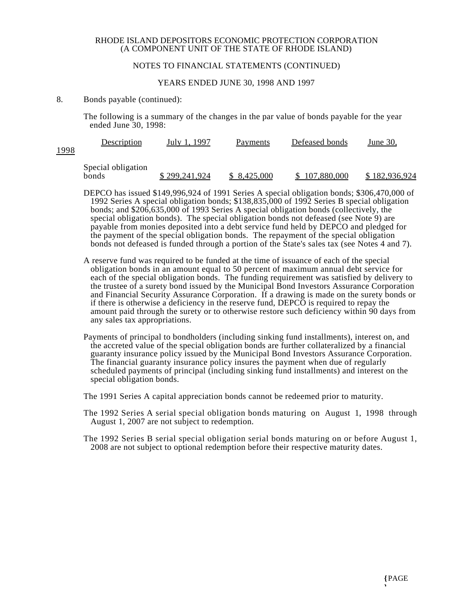### NOTES TO FINANCIAL STATEMENTS (CONTINUED)

### YEARS ENDED JUNE 30, 1998 AND 1997

#### 8. Bonds payable (continued):

The following is a summary of the changes in the par value of bonds payable for the year ended June 30, 1998:

| 1998 | Description                 | 1997<br>July 1. | Payments  | Defeased bonds | June 30.      |
|------|-----------------------------|-----------------|-----------|----------------|---------------|
|      | Special obligation<br>bonds | \$299,241,924   | 8,425,000 | 107,880,000    | \$182,936,924 |

DEPCO has issued \$149,996,924 of 1991 Series A special obligation bonds; \$306,470,000 of 1992 Series A special obligation bonds; \$138,835,000 of 1992 Series B special obligation bonds; and \$206,635,000 of 1993 Series A special obligation bonds (collectively, the special obligation bonds). The special obligation bonds not defeased (see Note 9) are payable from monies deposited into a debt service fund held by DEPCO and pledged for the payment of the special obligation bonds. The repayment of the special obligation bonds not defeased is funded through a portion of the State's sales tax (see Notes 4 and 7).

- A reserve fund was required to be funded at the time of issuance of each of the special obligation bonds in an amount equal to 50 percent of maximum annual debt service for each of the special obligation bonds. The funding requirement was satisfied by delivery to the trustee of a surety bond issued by the Municipal Bond Investors Assurance Corporation and Financial Security Assurance Corporation. If a drawing is made on the surety bonds or if there is otherwise a deficiency in the reserve fund, DEPCO is required to repay the amount paid through the surety or to otherwise restore such deficiency within 90 days from any sales tax appropriations.
- Payments of principal to bondholders (including sinking fund installments), interest on, and the accreted value of the special obligation bonds are further collateralized by a financial guaranty insurance policy issued by the Municipal Bond Investors Assurance Corporation. The financial guaranty insurance policy insures the payment when due of regularly scheduled payments of principal (including sinking fund installments) and interest on the special obligation bonds.

The 1991 Series A capital appreciation bonds cannot be redeemed prior to maturity.

The 1992 Series A serial special obligation bonds maturing on August 1, 1998 through August 1, 2007 are not subject to redemption.

The 1992 Series B serial special obligation serial bonds maturing on or before August 1, 2008 are not subject to optional redemption before their respective maturity dates.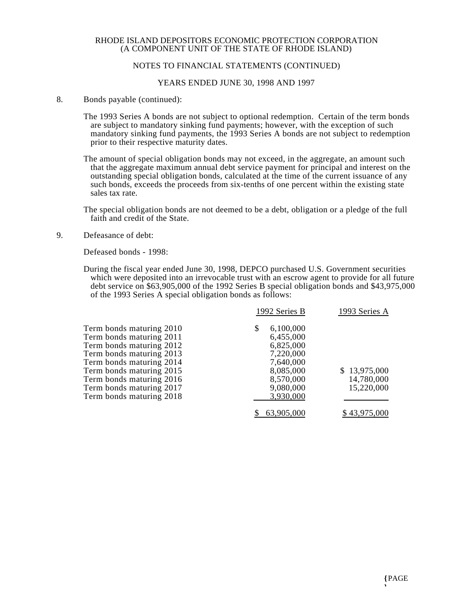### NOTES TO FINANCIAL STATEMENTS (CONTINUED)

### YEARS ENDED JUNE 30, 1998 AND 1997

## 8. Bonds payable (continued):

The 1993 Series A bonds are not subject to optional redemption. Certain of the term bonds are subject to mandatory sinking fund payments; however, with the exception of such mandatory sinking fund payments, the 1993 Series A bonds are not subject to redemption prior to their respective maturity dates.

The amount of special obligation bonds may not exceed, in the aggregate, an amount such that the aggregate maximum annual debt service payment for principal and interest on the outstanding special obligation bonds, calculated at the time of the current issuance of any such bonds, exceeds the proceeds from six-tenths of one percent within the existing state sales tax rate.

The special obligation bonds are not deemed to be a debt, obligation or a pledge of the full faith and credit of the State.

#### 9. Defeasance of debt:

Defeased bonds - 1998:

During the fiscal year ended June 30, 1998, DEPCO purchased U.S. Government securities which were deposited into an irrevocable trust with an escrow agent to provide for all future debt service on \$63,905,000 of the 1992 Series B special obligation bonds and \$43,975,000 of the 1993 Series A special obligation bonds as follows:

|                          | 1992 Series B   | 1993 Series A |
|--------------------------|-----------------|---------------|
| Term bonds maturing 2010 | 6,100,000<br>\$ |               |
| Term bonds maturing 2011 | 6,455,000       |               |
| Term bonds maturing 2012 | 6,825,000       |               |
| Term bonds maturing 2013 | 7,220,000       |               |
| Term bonds maturing 2014 | 7,640,000       |               |
| Term bonds maturing 2015 | 8,085,000       | \$13,975,000  |
| Term bonds maturing 2016 | 8,570,000       | 14,780,000    |
| Term bonds maturing 2017 | 9,080,000       | 15,220,000    |
| Term bonds maturing 2018 | 3,930,000       |               |
|                          | 63,905,000      | \$43,975,000  |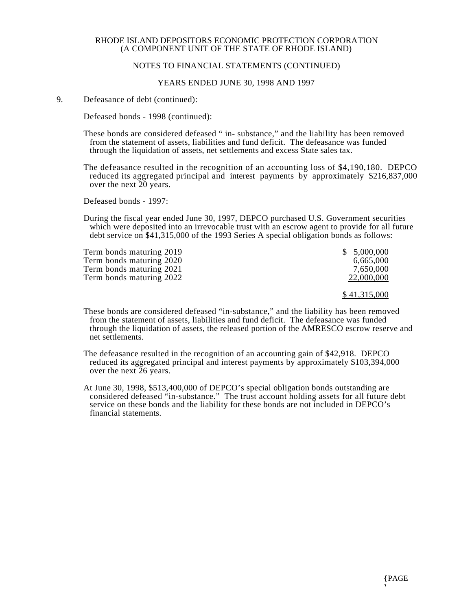### NOTES TO FINANCIAL STATEMENTS (CONTINUED)

### YEARS ENDED JUNE 30, 1998 AND 1997

9. Defeasance of debt (continued):

Defeased bonds - 1998 (continued):

These bonds are considered defeased " in- substance," and the liability has been removed from the statement of assets, liabilities and fund deficit. The defeasance was funded through the liquidation of assets, net settlements and excess State sales tax.

The defeasance resulted in the recognition of an accounting loss of \$4,190,180. DEPCO reduced its aggregated principal and interest payments by approximately \$216,837,000 over the next 20 years.

Defeased bonds - 1997:

During the fiscal year ended June 30, 1997, DEPCO purchased U.S. Government securities which were deposited into an irrevocable trust with an escrow agent to provide for all future debt service on \$41,315,000 of the 1993 Series A special obligation bonds as follows:

| Term bonds maturing 2019 | \$5,000,000 |
|--------------------------|-------------|
| Term bonds maturing 2020 | 6,665,000   |
| Term bonds maturing 2021 | 7,650,000   |
| Term bonds maturing 2022 | 22,000,000  |
|                          |             |

#### \$ 41,315,000

- These bonds are considered defeased "in-substance," and the liability has been removed from the statement of assets, liabilities and fund deficit. The defeasance was funded through the liquidation of assets, the released portion of the AMRESCO escrow reserve and net settlements.
- The defeasance resulted in the recognition of an accounting gain of \$42,918. DEPCO reduced its aggregated principal and interest payments by approximately \$103,394,000 over the next 26 years.
- At June 30, 1998, \$513,400,000 of DEPCO's special obligation bonds outstanding are considered defeased "in-substance." The trust account holding assets for all future debt service on these bonds and the liability for these bonds are not included in DEPCO's financial statements.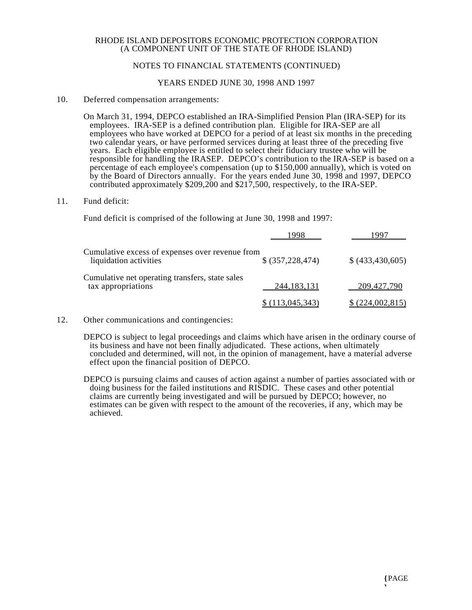## NOTES TO FINANCIAL STATEMENTS (CONTINUED)

### YEARS ENDED JUNE 30, 1998 AND 1997

#### 10. Deferred compensation arrangements:

On March 31, 1994, DEPCO established an IRA-Simplified Pension Plan (IRA-SEP) for its employees. IRA-SEP is a defined contribution plan. Eligible for IRA-SEP are all employees who have worked at DEPCO for a period of at least six months in the preceding two calendar years, or have performed services during at least three of the preceding five years. Each eligible employee is entitled to select their fiduciary trustee who will be responsible for handling the IRASEP. DEPCO's contribution to the IRA-SEP is based on a percentage of each employee's compensation (up to \$150,000 annually), which is voted on by the Board of Directors annually. For the years ended June 30, 1998 and 1997, DEPCO contributed approximately \$209,200 and \$217,500, respectively, to the IRA-SEP.

#### 11. Fund deficit:

Fund deficit is comprised of the following at June 30, 1998 and 1997:

|                                                                           |                    | 997                |
|---------------------------------------------------------------------------|--------------------|--------------------|
| Cumulative excess of expenses over revenue from<br>liquidation activities | \$ (357, 228, 474) | \$ (433, 430, 605) |
| Cumulative net operating transfers, state sales<br>tax appropriations     | 244, 183, 131      | 209, 427, 790      |
|                                                                           | \$(113,045,343)    | \$ (224,002,815)   |

12. Other communications and contingencies:

DEPCO is subject to legal proceedings and claims which have arisen in the ordinary course of its business and have not been finally adjudicated. These actions, when ultimately concluded and determined, will not, in the opinion of management, have a material adverse effect upon the financial position of DEPCO.

DEPCO is pursuing claims and causes of action against a number of parties associated with or doing business for the failed institutions and RISDIC. These cases and other potential claims are currently being investigated and will be pursued by DEPCO; however, no estimates can be given with respect to the amount of the recoveries, if any, which may be achieved.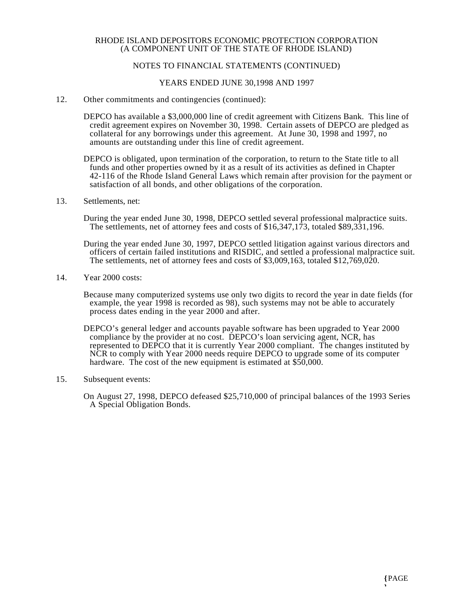## NOTES TO FINANCIAL STATEMENTS (CONTINUED)

### YEARS ENDED JUNE 30,1998 AND 1997

#### 12. Other commitments and contingencies (continued):

DEPCO has available a \$3,000,000 line of credit agreement with Citizens Bank. This line of credit agreement expires on November 30, 1998. Certain assets of DEPCO are pledged as collateral for any borrowings under this agreement. At June 30, 1998 and 1997, no amounts are outstanding under this line of credit agreement.

DEPCO is obligated, upon termination of the corporation, to return to the State title to all funds and other properties owned by it as a result of its activities as defined in Chapter 42-116 of the Rhode Island General Laws which remain after provision for the payment or satisfaction of all bonds, and other obligations of the corporation.

#### 13. Settlements, net:

During the year ended June 30, 1998, DEPCO settled several professional malpractice suits. The settlements, net of attorney fees and costs of \$16,347,173, totaled \$89,331,196.

During the year ended June 30, 1997, DEPCO settled litigation against various directors and officers of certain failed institutions and RISDIC, and settled a professional malpractice suit. The settlements, net of attorney fees and costs of \$3,009,163, totaled \$12,769,020.

#### 14. Year 2000 costs:

Because many computerized systems use only two digits to record the year in date fields (for example, the year 1998 is recorded as 98), such systems may not be able to accurately process dates ending in the year 2000 and after.

DEPCO's general ledger and accounts payable software has been upgraded to Year 2000 compliance by the provider at no cost. DEPCO's loan servicing agent, NCR, has represented to DEPCO that it is currently Year 2000 compliant. The changes instituted by NCR to comply with Year 2000 needs require DEPCO to upgrade some of its computer hardware. The cost of the new equipment is estimated at \$50,000.

#### 15. Subsequent events:

On August 27, 1998, DEPCO defeased \$25,710,000 of principal balances of the 1993 Series A Special Obligation Bonds.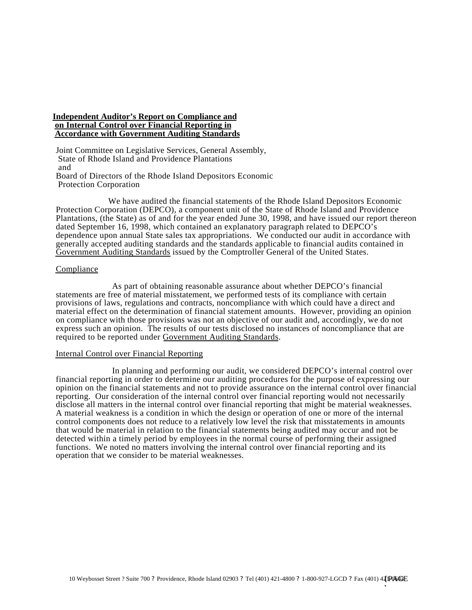#### **Independent Auditor's Report on Compliance and on Internal Control over Financial Reporting in Accordance with Government Auditing Standards**

Joint Committee on Legislative Services, General Assembly, State of Rhode Island and Providence Plantations and Board of Directors of the Rhode Island Depositors Economic Protection Corporation

We have audited the financial statements of the Rhode Island Depositors Economic Protection Corporation (DEPCO), a component unit of the State of Rhode Island and Providence Plantations, (the State) as of and for the year ended June 30, 1998, and have issued our report thereon dated September 16, 1998, which contained an explanatory paragraph related to DEPCO's dependence upon annual State sales tax appropriations. We conducted our audit in accordance with generally accepted auditing standards and the standards applicable to financial audits contained in Government Auditing Standards issued by the Comptroller General of the United States.

#### Compliance

As part of obtaining reasonable assurance about whether DEPCO's financial statements are free of material misstatement, we performed tests of its compliance with certain provisions of laws, regulations and contracts, noncompliance with which could have a direct and material effect on the determination of financial statement amounts. However, providing an opinion on compliance with those provisions was not an objective of our audit and, accordingly, we do not express such an opinion. The results of our tests disclosed no instances of noncompliance that are required to be reported under Government Auditing Standards.

#### Internal Control over Financial Reporting

In planning and performing our audit, we considered DEPCO's internal control over financial reporting in order to determine our auditing procedures for the purpose of expressing our opinion on the financial statements and not to provide assurance on the internal control over financial reporting. Our consideration of the internal control over financial reporting would not necessarily disclose all matters in the internal control over financial reporting that might be material weaknesses. A material weakness is a condition in which the design or operation of one or more of the internal control components does not reduce to a relatively low level the risk that misstatements in amounts that would be material in relation to the financial statements being audited may occur and not be detected within a timely period by employees in the normal course of performing their assigned functions. We noted no matters involving the internal control over financial reporting and its operation that we consider to be material weaknesses.